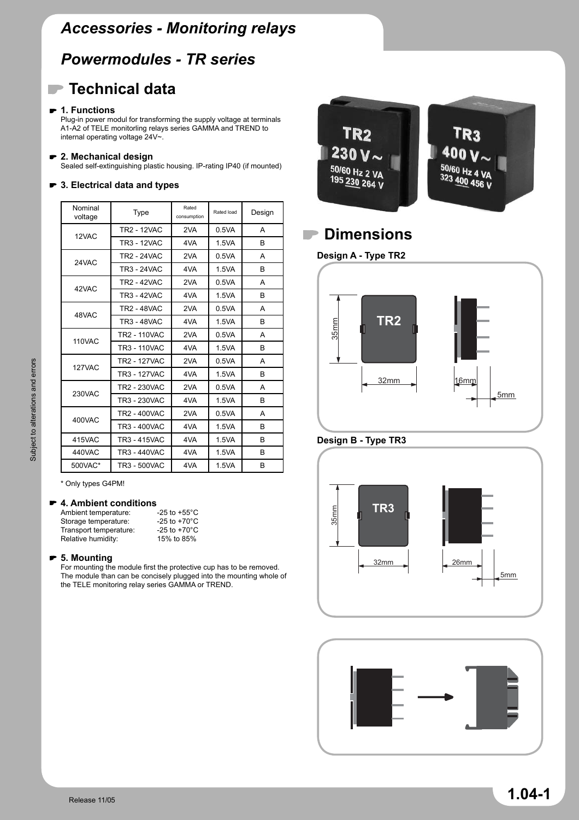## *Powermodules - TR series*

## **Technical data**

## **1. Functions**

Plug-in power modul for transforming the supply voltage at terminals A1-A2 of TELE monitorling relays series GAMMA and TREND to internal operating voltage 24V~.

#### **2. Mechanical design**

Sealed self-extinguishing plastic housing. IP-rating IP40 (if mounted)

## **3. Electrical data and types**

| Nominal<br>voltage | Type                | Rated<br>consumption | Rated load | Design       |
|--------------------|---------------------|----------------------|------------|--------------|
| 12VAC              | <b>TR2 - 12VAC</b>  | 2VA                  | 0.5VA      | A            |
|                    | <b>TR3 - 12VAC</b>  | 4VA                  | 1.5VA      | <sub>R</sub> |
| 24VAC              | <b>TR2 - 24VAC</b>  | 2VA                  | 0.5VA      | A            |
|                    | <b>TR3 - 24VAC</b>  | 4VA                  | 1.5VA      | B            |
| 42VAC              | TR2 - 42VAC         | 2VA                  | 0.5VA      | A            |
|                    | TR3 - 42VAC         | 4VA                  | 1.5VA      | <sub>R</sub> |
| 48VAC              | <b>TR2 - 48VAC</b>  | 2VA                  | 0.5VA      | A            |
|                    | <b>TR3 - 48VAC</b>  | 4VA                  | 1.5VA      | B            |
| <b>110VAC</b>      | <b>TR2 - 110VAC</b> | 2VA                  | 0.5VA      | A            |
|                    | <b>TR3 - 110VAC</b> | 4VA                  | 1.5VA      | B            |
| 127VAC             | <b>TR2 - 127VAC</b> | 2VA                  | 0.5VA      | A            |
|                    | <b>TR3 - 127VAC</b> | 4VA                  | 1.5VA      | B            |
| 230VAC             | TR2 - 230VAC        | 2VA                  | 0.5VA      | A            |
|                    | TR3 - 230VAC        | 4VA                  | 1.5VA      | B            |
| 400VAC             | <b>TR2 - 400VAC</b> | 2VA                  | 0.5VA      | A            |
|                    | <b>TR3 - 400VAC</b> | 4VA                  | 1.5VA      | B            |
| 415VAC             | <b>TR3 - 415VAC</b> | 4VA                  | 1.5VA      | B            |
| 440VAC             | TR3 - 440VAC        | 4VA                  | 1.5VA      | B            |
| 500VAC*            | TR3 - 500VAC        | 4VA                  | 1.5VA      | B            |

\* Only types G4PM!

#### **4. Ambient conditions**

| Ambient temperature:   | -25 to +55 $^{\circ}$ C |
|------------------------|-------------------------|
| Storage temperature:   | -25 to $+70^{\circ}$ C  |
| Transport temperature: | -25 to +70 $^{\circ}$ C |
| Relative humidity:     | 15% to 85%              |
|                        |                         |

### **5. Mounting**

For mounting the module first the protective cup has to be removed. The module than can be concisely plugged into the mounting whole of the TELE monitoring relay series GAMMA or TREND.



## **Dimensions**

**Design A - Type TR2**







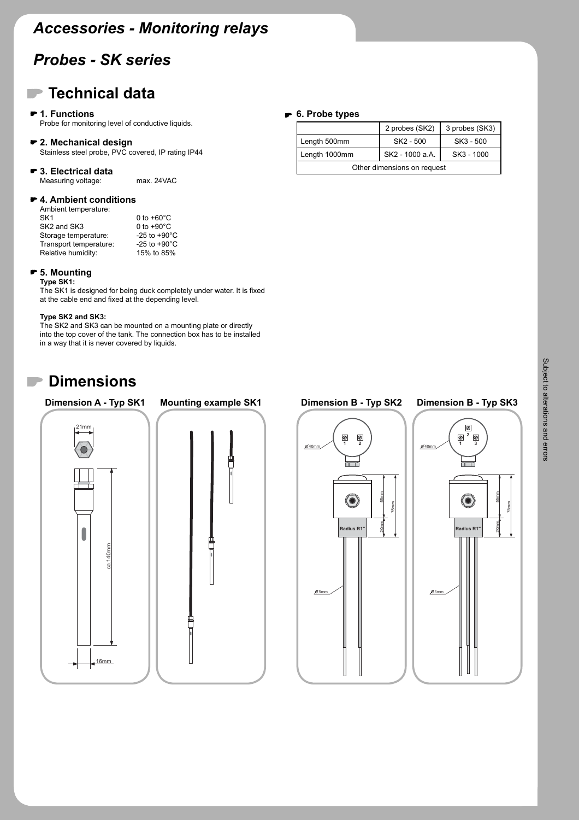## *Probes - SK series*

## **Technical data**

#### **1. Functions**

Probe for monitoring level of conductive liquids.

#### **2. Mechanical design**

Stainless steel probe, PVC covered, IP rating IP44

#### **3. Electrical data** Measuring voltage: max. 24VAC

#### **4. Ambient conditions**

| Ambient temperature:                |                         |
|-------------------------------------|-------------------------|
| SK <sub>1</sub>                     | 0 to $+60^{\circ}$ C    |
| SK <sub>2</sub> and SK <sub>3</sub> | 0 to $+90^{\circ}$ C    |
| Storage temperature:                | -25 to $+90^{\circ}$ C  |
| Transport temperature:              | -25 to +90 $^{\circ}$ C |
| Relative humidity:                  | 15% to 85%              |

#### **5. Mounting**

**Type SK1:**

The SK1 is designed for being duck completely under water. It is fixed at the cable end and fixed at the depending level.

#### **Type SK2 and SK3:**

The SK2 and SK3 can be mounted on a mounting plate or directly into the top cover of the tank. The connection box has to be installed in a way that it is never covered by liquids.

## **Dimensions**

# **Dimension A - Typ SK1** 21mm  $\Box$ ca.140mm ca.140mm 16mm

# **Dimension B - Typ SK2 Mounting example SK1 Dimension B - Typ SK3**





## **6. Probe types**

| ------------                |                 |                |  |  |  |
|-----------------------------|-----------------|----------------|--|--|--|
|                             | 2 probes (SK2)  | 3 probes (SK3) |  |  |  |
| Length 500mm                | SK2 - 500       | SK3 - 500      |  |  |  |
| Length 1000mm               | SK2 - 1000 a.A. | SK3 - 1000     |  |  |  |
| Other dimensions on request |                 |                |  |  |  |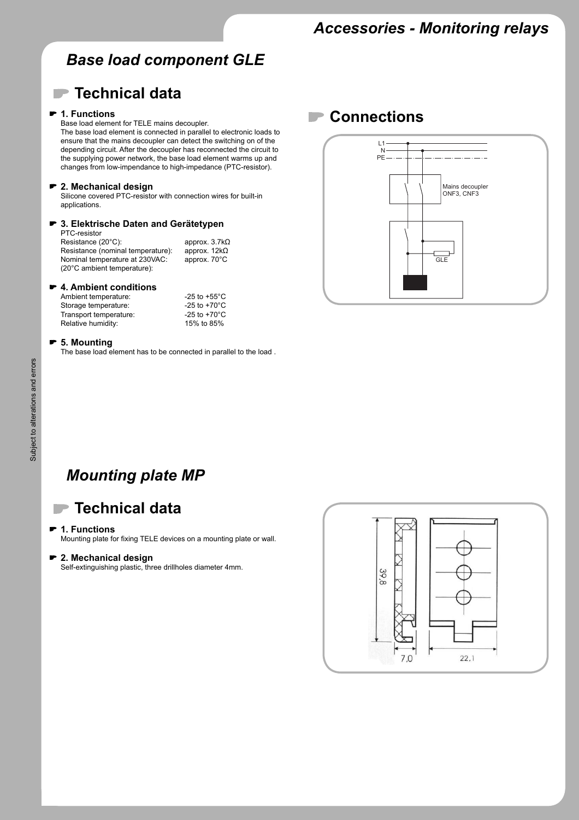## *Base load component GLE*

## **Technical data**

#### **1. Functions**

Base load element for TELE mains decoupler.

The base load element is connected in parallel to electronic loads to ensure that the mains decoupler can detect the switching on of the depending circuit. After the decoupler has reconnected the circuit to the supplying power network, the base load element warms up and changes from low-impendance to high-impedance (PTC-resistor).

#### **2. Mechanical design**

Silicone covered PTC-resistor with connection wires for built-in applications.

#### **3. Elektrische Daten and Gerätetypen** PTC-resistor

Resistance (20°C): approx. 3.7kΩ Resistance (nominal temperature): approx. 12kΩ Nominal temperature at 230VAC: approx. 70°C (20°C ambient temperature):

#### **4. Ambient conditions**

| Ambient temperature:   | -25 to +55 $^{\circ}$ C |
|------------------------|-------------------------|
| Storage temperature:   | -25 to +70 $^{\circ}$ C |
| Transport temperature: | -25 to +70 $^{\circ}$ C |
| Relative humidity:     | 15% to 85%              |

#### **5. Mounting**

The base load element has to be connected in parallel to the load .

## **Connections**



## *Mounting plate MP*

## **Technical data**

#### **1. Functions**

Mounting plate for fixing TELE devices on a mounting plate or wall.

#### **2. Mechanical design**

Self-extinguishing plastic, three drillholes diameter 4mm.